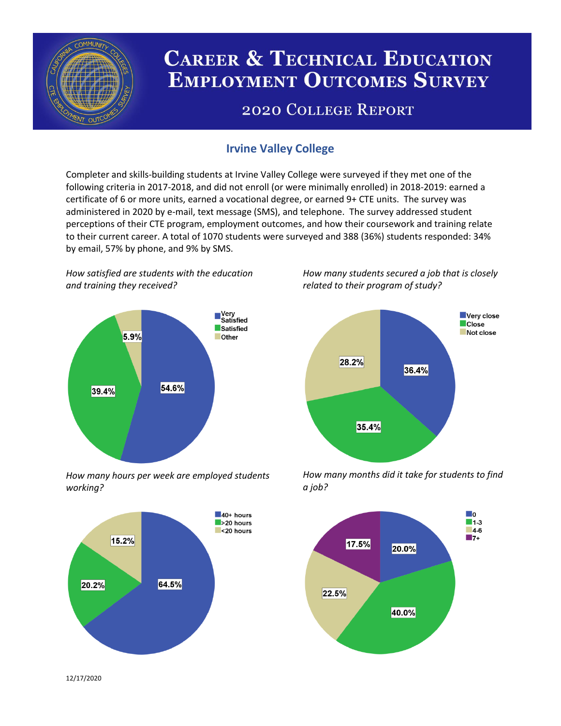

# **CAREER & TECHNICAL EDUCATION EMPLOYMENT OUTCOMES SURVEY**

## **2020 COLLEGE REPORT**

## **Irvine Valley College**

Completer and skills-building students at Irvine Valley College were surveyed if they met one of the following criteria in 2017-2018, and did not enroll (or were minimally enrolled) in 2018-2019: earned a certificate of 6 or more units, earned a vocational degree, or earned 9+ CTE units. The survey was administered in 2020 by e-mail, text message (SMS), and telephone. The survey addressed student perceptions of their CTE program, employment outcomes, and how their coursework and training relate to their current career. A total of 1070 students were surveyed and 388 (36%) students responded: 34% by email, 57% by phone, and 9% by SMS.

*How satisfied are students with the education and training they received?*



*How many hours per week are employed students working?*



*How many students secured a job that is closely related to their program of study?*



*How many months did it take for students to find a job?*



12/17/2020